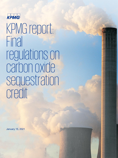

# KPMG report: Final regulations on carbon oxide sequestration credit

January 15, 2021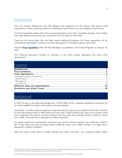# **Introduction**

The U.S. Treasury Department and IRS released final regulations for the section 45Q carbon oxide sequestration credit, providing certainty for developers and investors on credit eligibility requirements.

The final regulations largely follow the proposed regulations with some, favorable changes, most notably the credit recapture period has been shortened from five years to three years.

There are still some areas that will likely require additional guidance, but these regulations will be welcomed by developers, investors, and other participants in the carbon capture value chain.

Read the **[final regulations](https://www.govinfo.gov/content/pkg/FR-2021-01-15/pdf/2021-00302.pdf)** [PDF 429 KB] (46 pages) as published in the Federal Register on January 15, 2021.

The following discussion includes an overview of the newly issued regulations and some initial observations.

## **Contents**

# <span id="page-1-0"></span>Background

In 2018, as part of the Bipartisan Budget Act of 2018 (BBA 2018), Congress significantly enhanced the tax credit available for carbon oxide capture and sequestration.

Specifically, for carbon capture equipment originally placed in service at a qualified facility after February 9, 2018 (the effective date of BBA 2018), the credit rate in 2020 is \$20.22 per metric ton of carbon oxide that is captured and used as a tertiary injectant, and the credit rate increases linearly to \$35 per metric ton in 2026. The credit rate is adjusted for inflation thereafter.

For carbon oxide that is permanently stored but not used as a tertiary injectant, the credit rate in 2020 is \$31.77 per metric ton, and increases linearly to \$50 per metric ton in 2026. Similarly, the credit rate is adjusted for inflation thereafter.

Note that carbon oxide refers to carbon dioxide and carbon monoxide. As a practical matter, carbon

© 2021 KPMG LLP, a Delaware limited liability partnership and a member firm of the KPMG global organization of independent member firms affiliated with KPMG International Limited, a private English company limited by guarantee. All rights reserved.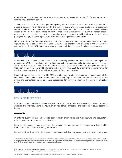dioxide is most commonly used as a tertiary injectant for enhanced oil recovery.[1](#page-2-3) Carbon monoxide is likely to be permanently stored.

The credit is available for a 12-year period beginning with the date that the carbon capture equipment is placed in service. The credit is claimed by the taxpayer that owns the carbon oxide capture equipment and physically or contractually ensures the capture and disposal, injection, or utilization of such qualified carbon oxide. The rules also provide an election that allows the taxpayer that owns the carbon capture equipment to allocate the credit to the person that acquires the carbon oxide and physically undertakes geological storage, disposal, injection, or utilization of such qualified carbon oxide.

Under BBA 2018, in order to be eligible for the credit, a taxpayer must begin construction of a carbon capture equipment project prior to January 1, 2024. This deadline was extended in the Consolidated Appropriations Act of 2021 so that now taxpayers have until January 1, 2026, to begin construction.

# <span id="page-2-0"></span>Prior guidance

In February 2020, the IRS issued Notice 2020-12 providing guidance on when "construction begins" for purposes of §45Q, using rules similar to those applicable to wind and solar projects. Also, in February 2020, the IRS issued and Rev. Proc. 2020-12 which sets forth a safe harbor for tax equity partnerships that claim the section 45Q credit. The safe harbor in Rev. Proc. 2020-12 is similar to the safe harbor for wind production tax credit partnerships discussed in Rev. Proc. 2007-65.

Proposed regulations, issued June 20, 2020, provided long-awaited guidance on various aspects of the section 45Q credit, including definitions, rules for electing to pass the credit to other claimants, recapture period and computation rules, and basic procedures for taxpayers claiming the credit for utilization projects.

# <span id="page-2-1"></span>Final regulations

## <span id="page-2-2"></span>General credit provisions

Like the proposed regulations, the final regulations largely mirror the statute in stating the credit amounts available. The final regulations do, however, provide some clarifications and additional rules, as described below.

#### **Aggregation**

In order to qualify for the carbon oxide sequestration credit, taxpayers must capture and sequester a minimum amount of carbon oxide per tax year.

Facilities that acquire carbon oxide from the ambient air must capture and sequester at least 25,000 metric tons of qualified oxide during the tax year.

For qualified facilities other than electric generating facilities, taxpayers generally must capture and

<span id="page-2-3"></span><sup>1</sup> Note there is also a credit under section 43 for enhanced oil recovery investments. The credit is phased in or out based on the average price of oil for the year compared to an inflation adjusted reference price. The credit has been phased out for several years but will likely be available in 2021 based on 2020 domestic oil prices.

<sup>©</sup> 2021 KPMG LLP, a Delaware limited liability partnership and a member firm of the KPMG global organization of independent member firms affiliated with KPMG International Limited, a private English company limited by guarantee. All rights reserved.

The KPMG name and logo are trademarks used under license by the independent member firms of the KPMG global organization.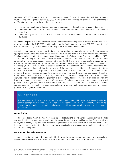sequester 100,000 metric tons of carbon oxide per tax year. For electric generating facilities, taxpayers must capture and sequester at least 500,000 metric tons of carbon oxide per tax year. A lower threshold of 25,000 metric tons is available if the carbon oxide is:

- Fixated through photosynthesis or chemosynthesis, such as through growing algae or bacteria;
- Chemically converted to a material or chemical compound in which such carbon oxide is securely stored; or
- Used for any other purpose of which a commercial market exists, as determined by Treasury guidance.

In addition, taxpayers that owned carbon capture equipment that was placed in service prior to BBA 2018 may elect to claim the BBA 2018 credits as long as the facility captures at least 500,000 metric tons of carbon oxide in a tax year and did not claim the pre-BBA 2018 section 45Q credit.

Several commenters suggested that it should be permissible in some circumstances for taxpayers to aggregate capture amounts from multiple facilities to meet the various minimum capture requirements. The final regulations adopt this suggestion and incorporate the "single project" factors from Notice 2020- 12. Factors indicating that multiple qualified facilities or units of carbon capture equipment are operated as part of a single project include, but are not limited to: (1) the units of carbon capture equipment are owned by the same legal entity; (2) the units of carbon capture equipment are commonly managed or operated; (3) the units of carbon capture equipment are operated under similar operations and maintenance protocols established by the owner of the equipment, considering differences attributable in resource utilization and expected use of captured carbon oxides; (4) the units of carbon capture equipment are constructed pursuant to a single plan for Front-End Engineering and Design (FEED) or other approaches for front-end planning (e.g., the Front-End Loading (FEL) approach); (5) the carbon oxide captured with the carbon capture equipment is transported, disposed of, utilized, or used as a tertiary injectant pursuant to a shared contract; (6) the units of carbon capture equipment were constructed pursuant to a single construction management contract; and (7) if construction of any unit of carbon capture equipment was debt financed, construction of all units of carbon capture equipment is financed pursuant to a single loan agreement.

## KPMG observation

The incorporation of the aggregation rule is a welcome change and logically harmonizes the singleproject concept from Notice 2020-12 with the regulations. This will be especially welcome to projects using smaller capture units, including the landfill industry, which advocated for this change in comments.

#### **Annualization**

The final regulations retain the rule from the proposed regulations providing for annualization for the first tax year in which carbon capture equipment is placed in service at a qualified facility. This rule allows taxpayers to satisfy the production threshold requirements discussed above on a pro rata basis. The final regulations go further than the proposed regulations in also allowing annualization for the last year of the 12-year credit period.

#### **Contractual disposal arrangement**

The credit may be claimed by the person that both owns the carbon capture equipment and physically or contractually ensures the capture and disposal, injection, or utilization of such qualified carbon oxide.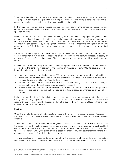The proposed regulations provided some clarification as to what contractual terms would be necessary. The proposed regulations also provided that a taxpayer may enter into multiple contracts with multiple parties for the disposal, injection, or utilization of qualified carbon oxide.

Further, the proposed regulations required that the agreement between the parties be a binding written contract and a contract is binding only if it is enforceable under state law and does not limit damages to a specified amount.

Many commenters noted that the definition of binding written contract in the proposed regulations as it related to liquidated damages did not seem to fully incorporate the binding contract requirements in Notice 2020-12 and elsewhere in the Code. In response, the final regulations make the written binding contract definition consistent by providing that a contractual provision that limits damages to an amount equal to at least 5% of the total contract price will not be treated as limiting damages to a specified amount.

Additionally, the final regulations provide that a taxpayer may enter into a binding written contract with a general contractor that hires subcontractors to physically carry out the capture, disposal, injection, or utilization of the qualified carbon oxide. The final regulations also permit multiple binding written contracts.

Each contract, along with the parties thereto, must be reported to the IRS annually, on a Form 8933, by each party to the contract. In addition to the information required by Form 8933, taxpayers must also include four pieces of additional information:

- Name and taxpayer identification number (TIN) of the taxpayer to whom the credit is attributable;
- Name and TIN of each party with whom the taxpayer has entered into a contract to ensure the disposal, injection, or utilization of qualified carbon oxide;
- Number of metric tons of qualified carbon oxide each contracting party disposes of, injects, or utilizes on behalf of the contracting taxpayer each tax year; and
- Special Environmental Protection Agency (EPA) information if there is disposal in secure geological storage or the use of qualified carbon oxide as a tertiary injectant in enhanced oil or natural gas recovery.

It should be noted that the final regulations provide that the failure of the taxpayer claiming the credit to satisfy this reporting requirement in a tax year will result in the inability of that taxpayer to claim the credit with respect to any qualified carbon oxide that is disposed of, injected, or utilized in that tax year pursuant to that particular contract.

#### **Election**

Under the statute the owner of carbon capture equipment may elect to allocate the section 45Q credit to the person that contractually ensures the capture and disposal, injection, or utilization of such qualified carbon oxide.

Similar to the proposed regulations, the final regulations provide that the election to allocate the credit to the person that contractually ensures the capture and disposal, injection, or utilization of such qualified carbon oxide, can be made annually and that the taxpayer can elect to allocate only a portion of the credit to the counterparty. Further, the taxpayer can allocate the credit to multiple counterparties if more than one person is disposing of or utilizing the carbon oxide.

The final regulations, in response to comments about the availability of the credit to subcontractors and/or other participants in the value chain, provide that only the disposer, injector, or utilizer that enters

<sup>©</sup> 2021 KPMG LLP, a Delaware limited liability partnership and a member firm of the KPMG global organization of independent member firms affiliated with KPMG International Limited, a private English company limited by guarantee. All rights reserved.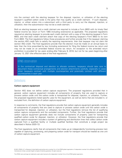into the contract with the electing taxpayer for the disposal, injection, or utilization of the electing taxpayer's qualified carbon oxide is the party that may qualify as a credit claimant. If such disposer, injector, or utilizer enters into a subcontract with a third party to carry out the disposal, injection, or utilization, then the subcontractor may not be a credit claimant.

Both an electing taxpayer and a credit claimant are required to include a Form 8933 with its timely filed federal income tax return or Form 1065 (including extensions) as applicable. The proposed regulations required an electing taxpayer to provide each credit claimant with a copy of the electing taxpayer's Form 8933, and that each credit claimant attach that copy of the electing taxpayer's Form 8933 to its own Form 8933. The final regulations follow those procedures and further provide that if the taxpayer claiming the section 45Q credit fails to satisfy the reporting requirements, then that taxpayer may not claim the section 45Q credit. The final regulations provide that the election must be made on an annual basis no later than the time prescribed by law (including extensions) for filing the federal income tax return and may not be made on an amended federal income tax return. An exception to the amended return prohibition is provided for tax years ending after February 9, 2018, but not for tax years beginning after January 13, 2021 (the effective date of the final regulations).

## KPMG observation

In the contractual disposal and election to allocate contexts, taxpayers should take care to document these contractual arrangements and election attachments carefully, especially in cases when taxpayers contract with multiple counterparties and potentially contract with different counterparties in each year.

## <span id="page-5-0"></span>Definitions

#### **Carbon capture equipment**

Section 45Q does not define carbon capture equipment. The proposed regulations provided that in general, carbon capture equipment includes all components of property that are used to capture or process carbon oxide until the carbon oxide is transported for disposal, injection, or utilization. Further, the proposed regulations listed specific uses for the equipment, as well as items that are included in, or excluded from, the definition of carbon capture equipment.

In response to comments, the final regulations provide that carbon capture equipment generally includes all components of property that are used to capture or process carbon oxide until the carbon oxide is transported for disposal, injection, or utilization, but the final regulations remove the list of qualifying carbon capture components and the excluded components. Further, the final regulations provide that carbon capture equipment generally does not include components of property used for transporting qualified carbon oxide for disposal, injection, or utilization. However, the final regulations provide that carbon capture equipment includes a system of gathering and distribution lines that collect carbon oxide captured from a qualified facility or multiple qualified facilities that constitute a single project (as described in Notice 2020-12).

The final regulations clarify that all components that make up an independently functioning process train capable of capturing, processing, and preparing carbon oxide for transport should be treated as one unit of carbon capture equipment.

© 2021 KPMG LLP, a Delaware limited liability partnership and a member firm of the KPMG global organization of independent member firms affiliated with KPMG International Limited, a private English company limited by guarantee. All rights reserved.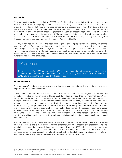#### **80/20 rule**

The proposed regulations included an "80/20 rule," which allow a qualified facility or carbon capture equipment to qualify as originally placed in service even though it contains some used components of property, if the fair market value of the used components of property is not more than 20% of the total value of the qualified facility or carbon capture equipment. For purposes of the 80/20 rule, the cost of a new qualified facility or carbon capture equipment includes all properly capitalized costs of the new qualified facility or carbon capture equipment. The proposed regulations also allowed taxpayers to elect to include the cost of new equipment for a pipeline owned and exclusively used by that taxpayer to transport carbon oxides captured from that taxpayer's qualified facility.

The 80/20 rule has long been used to determine eligibility of used property for other energy tax credits. And the IRS and Treasury have been reluctant in these other contexts to expand upon or provide additional guidance relating to 80/20 eligibility. Despite numerous questions from commenters, especially with respect to valuation, the IRS and Treasury largely declined to provide any additional guidance on the 80/20 rule for purposes of section 45Q and instead refer taxpayers back to Rev. Rul. 94-31, the guidance where the rule was first articulated.

## KPMG observation

The application of the 80/20 rule to section 45Q is an area in need of additional study and will likely continue to generate interest and questions. In particular, taxpayers want to be able to rely on the 80/20 rule to access the higher BBA 2018 credit rates.

#### **Qualified facility**

The section 45Q credit is available to taxpayers that either capture carbon oxide from the ambient air or capture it from an "industrial facility."

Section 45Q does not define the term "industrial facility." The proposed regulations adopted the definition of industrial facility used in Notice 2020-12, which provides that an "industrial facility" is a facility that produces a carbon oxide stream from a fuel combustion source, a manufacturing process, or a fugitive carbon oxide-emission source that, absent capture and disposal, injection, or utilization, would otherwise be released into the atmosphere. Under the proposed regulations, an industrial facility did not include a facility that produces carbon dioxide from carbon dioxide production wells at natural carbon dioxide-bearing formations or at naturally occurring subsurface springs. The proposed regulations further provided a safe harbor under which a deposit of natural gas that contains less than 10% carbon dioxide by volume is not a natural carbon dioxide-bearing formation (10% safe harbor). For other deposits, whether a well is producing from a natural carbon dioxide-bearing formation is based on all the facts and circumstances.

Commenters sought clarification and revisions to the 10% safe harbor, generally noting that it was too low of a threshold and did not account for the different types of formations and processes. The final regulations replace the facts-and-circumstances standard and the 10% safe harbor in the proposed regulations and adopt a greater-than-90% test. In other words, the definition of "industrial facility" excludes carbon dioxide production wells at natural carbon dioxide-bearing formations, or at naturally occurring subsurface springs, with greater than 90% carbon dioxide by volume.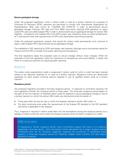#### **Secure geological storage**

Under the proposed regulations, when a carbon oxide is used as a tertiary injectant for purposes of Enhanced Oil Recovery (EOR), operators are permitted to comply with International Organization for Standardization (ISO) rules known as "CSI/ANSI ISO 27916:19" in order to demonstrate secure geological storage. Previous IRS rules and Form 8933 instructions required EOR operators to report under EPA rules (so-called Subpart RR) in order to demonstrate secure geological storage for section 45Q eligibility. Compliance with Subpart RR in the EOR context was viewed by many as overly burdensome, as it was beyond what was required even for EPA well classification permitting purposes.

Under the proposed regulations, projects that stored the carbon oxide permanently must continue to report under Subpart RR to demonstrate secure geological storage.

The availability of ISO reporting for EOR was largely well received, although some commenters asked for Treasury and the IRS to compel more public reporting and transparency.

The final regulations adopt the proposed rules on secure storage without major changes. While the preamble to the final regulations notes the importance of transparency and accountability, it states that there is no statutory authority for requiring public reporting.

## <span id="page-7-0"></span>Recapture

The carbon oxide sequestration credit is recaptured if carbon oxide for which a credit has been claimed ceases to be captured, disposed of, or used as a tertiary injectant. Recapture events are determined separately for each project involving capture, disposal or use of qualified carbon oxide as a tertiary injectant.

#### **Recapture period**

The proposed regulation provided a five-year recapture period. In response to comments received, the final regulations shorten the recapture period to three years. The three-year recapture period begins on the date of the first injection of qualified carbon oxide for disposal in secure geological storage or use as a tertiary injectant on which the section 45Q credit was claimed and ends the earlier of:

- Three years after the last tax year in which the taxpayer claimed a section 45Q credit, or
- The date monitoring ends under the requirements of the Subpart RR standard or the ISO standard, whichever is applicable to the taxpayer.

Thus, recapture is required if carbon oxide leaks into the atmosphere during the recapture period, but a leakage of carbon oxide that occurs after the recapture period would not lead to recapture of credits.

## KPMG observation

In requesting a shorter recapture period, many commenters argued that there is no evidence supporting a five-year period. And commenters further described how a longer recapture period introduced more risk for investors, negatively impacting the economics of developing these projects. A three-year recapture period will hopefully mitigate these concerns and help reduce barriers for investors.

7

© 2021 KPMG LLP, a Delaware limited liability partnership and a member firm of the KPMG global organization of independent member firms affiliated with KPMG International Limited, a private English company limited by guarantee. All rights reserved.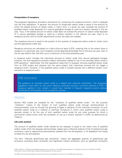#### **Computation of recapture**

The proposed regulations provided a framework for computing the recapture amount, which is adopted into the final regulations. In general, the amount of recaptured carbon oxide is equal to the amount by which the leaked amount of carbon oxide, in metric tons, in a given tax year, exceeds the amount of qualified carbon oxide disposed of in secure geological storage or used as a tertiary injectant in the tax year. Thus, if the leaked amount of carbon oxide does not exceed the amount of carbon oxide disposed of in secure geological storage or used as a tertiary injectant in the relevant tax year, there is no recapture amount and no further adjustments to prior tax years are needed.

The recapture amount is equal to the product of the quantity of recaptured carbon oxide (in metric tons) and the appropriate credit rate.

Recapture amounts are calculated on a last-in-first-out basis (LIFO), meaning that to the extent there is recapture in a particular year, such recapture will be deemed attributable first to the prior tax year, then to the tax year before that, and then up to a maximum of the third preceding year.

A recapture event includes the intentional removal of carbon oxide from secure geological storage; however, the final regulations provide a helpful clarification related to use of the recycled carbon oxide in EOR operations. Specifically, the final regulations state that if a taxpayer removes qualified carbon oxide from an EOR project and reinjects into the same project, that intentional removal will not trigger a recapture event. However, if the qualified carbon oxide is instead injected into a different project, such removal is a recapture event.

## KPMG observation

The guidance on recycled carbon oxide is a helpful and welcome clarification. The proposed regulations were silent on this point creating uncertainty around a common practice in EOR. If recapture applied in this context it would have resulted in frequent recapture events adding complications and burdens to the compliance process.

## <span id="page-8-0"></span>Utilization

Section 45Q credits are available for the "utilization of qualified carbon oxide." For this purpose "utilization" means (i) the fixation of such qualified carbon oxide through photosynthesis or chemosynthesis, such as through the growing of algae or bacteria; (ii) the chemical conversion of such qualified carbon oxide to a material or chemical compound in which such qualified carbon oxide is securely stored; or (iii) the use of such qualified carbon oxide for any other purpose for which a commercial market exists (with the exception of use as a tertiary injectant in EOR), as determined by Treasury.

#### **Life cycle analysis**

The amount of qualified carbon oxide utilized by the taxpayer is equal to the metric tons of qualified carbon oxide which the taxpayer demonstrates, based upon a lifecycle analysis (LCA) of greenhouse gas emissions, were (i) captured and permanently isolated from the atmosphere, or (ii) displaced from being emitted into the atmosphere.

The term "lifecycle greenhouse gas emissions" means the aggregate quantity of greenhouse gas emissions (including direct emissions and significant indirect emissions such as significant emissions

<sup>©</sup> 2021 KPMG LLP, a Delaware limited liability partnership and a member firm of the KPMG global organization of independent member firms affiliated with KPMG International Limited, a private English company limited by guarantee. All rights reserved.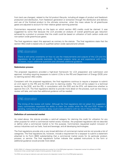from land use changes), related to the full product lifecycle, including all stages of product and feedstock production and distribution, from feedstock generation or extraction through the distribution and delivery and use of the finished product to the ultimate consumer, when the mass values for all greenhouse gases are adjusted to account for their relative global warming potential.

Commenters requested clarity on the basis on which section 45Q credits could be claimed. It was suggested by some that because the LCA provides an analysis of overall greenhouse gas reduction achieved by a product or process that the credit could be based on utilization of both carbon oxide and non-carbon oxide greenhouse gases.

The final regulations reject this approach as contrary to the statute. The final regulations state that the section 45Q credit is based only on qualified carbon oxide captured and utilized.

## KPMG observation

There is still some uncertainty on how to use the measurements and outputs of the LCA and the regulations do not provide examples. As these projects ramp up and experience with LCAs increases, expect additional questions and ultimately additional guidance.

#### **Submission process**

The proposed regulations provided a high-level framework for LCA preparation and submission and approval, including requiring taxpayers to submit LCAs to the IRS and Department of Energy (DOE) prior to claiming section 45Q credits.

Consistent with the proposed regulations, the final regulations continue to require a taxpayer to submit an LCA report to the IRS and the DOE prior to claiming credits. The LCA will be subject to a technical review by the DOE, and the IRS, in consultation with the DOE and the EPA, will determine whether to approve the LCA. The final regulations decline to provide more detail on the process, such as how long a review will take, and note that additional guidance will be needed.

## KPMG observation

The timing of the review will matter. Although the final regulations did not adopt this suggestion, many commenters requested the ability to claim the credits while the IRS and DOE review is pending, noting that an uncertain delay could create problems with tax return filing deadlines.

#### **Definition of commercial market**

As noted above, the statute provides a catch-all category for claiming the credit for utilization for any other purpose for which a commercial market exists; however, the proposed regulations did not describe or define what a commercial market is for this purpose. Commenters requested explicit inclusion of various industries such as fuels, food and beverage, and all developing technologies.

The final regulations provide only a very broad definition of commercial market and do not provide a list of categories. The final regulations do, however, include a requirement for a taxpayer to submit a statement attached to its Form 8933 substantiating that a commercial market exists for its particular product, process, or service. The final regulations further indicate that updated instructions to the form or additional guidance would provide more detail.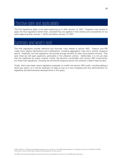# <span id="page-10-0"></span>Effective date and applicability

The final regulations apply to tax years beginning on or after January 13, 2021. Taxpayers may choose to apply the final regulations before then, provided they are applied in their entirety and consistently for tax years beginning after January 1, 2018, and before January 13, 2021

# <span id="page-10-1"></span>Summary and what's next

The final regulations provide welcome and thorough rules related to section 45Q. Treasury and IRS made many helpful clarifications and modifications, including aggregation rules and a shorter recapture period. Hopefully, the final regulations will provide enough certainty to help move projects forward. That said, there are still open questions, particularly in the utilization context. Additionally, it is not yet clear that the traditional tax equity investor market has become comfortable with section 45Q investments, but these final regulations, including the shortened recapture period, are certainly a helpful step forward.

Finally, there have been recent legislative proposals to modify the section 45Q credit, including adding a direct pay option, so it will be necessary to keep an eye on a new Congress and new administration for legislative and administrative developments in this space.